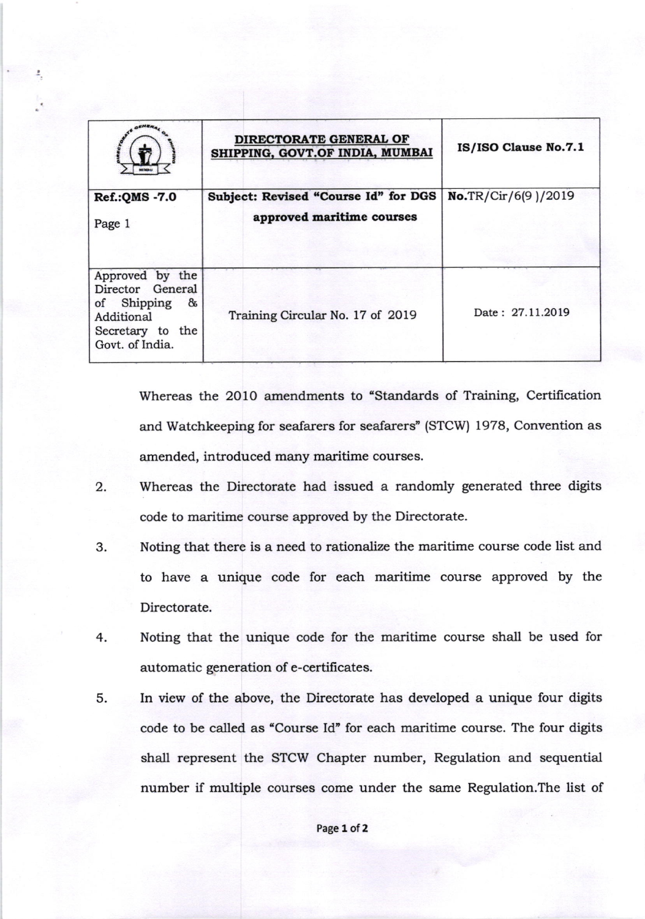|                                                                                                              | DIRECTORATE GENERAL OF<br>SHIPPING, GOVT.OF INDIA, MUMBAI         | IS/ISO Clause No.7.1 |
|--------------------------------------------------------------------------------------------------------------|-------------------------------------------------------------------|----------------------|
| Ref.: QMS - 7.0<br>Page 1                                                                                    | Subject: Revised "Course Id" for DGS<br>approved maritime courses | No.TR/Cir/6(9)/2019  |
| Approved by the<br>Director General<br>of Shipping<br>&<br>Additional<br>Secretary to the<br>Govt. of India. | Training Circular No. 17 of 2019                                  | Date: 27.11.2019     |

Whereas the 2010 amendments to "Standards of Training, Certification and Watchkeeping for seafarers for seafarers" (STCW) 1978, Convention as amended, introduced many maritime courses.

- 2. Whereas the Directorate had issued a randomly generated three digits code to maritime course approved by the Directorate.
- 3. Noting that there is a need to rationalize the maritime course code list and to have a unique code for each maridme course approved by the Directorate.
- Noting that the unique code for the maritime course shall be used for automatic generation of e-certificates. 4.
- In view of the above, the Directorate has developed a unique four digits code to be called as "Course Id' for each maritime course. The four digits shall represent the STCW Chapter number, Regulation and sequential number if multiple courses come under the same Regulation.The list of 5.